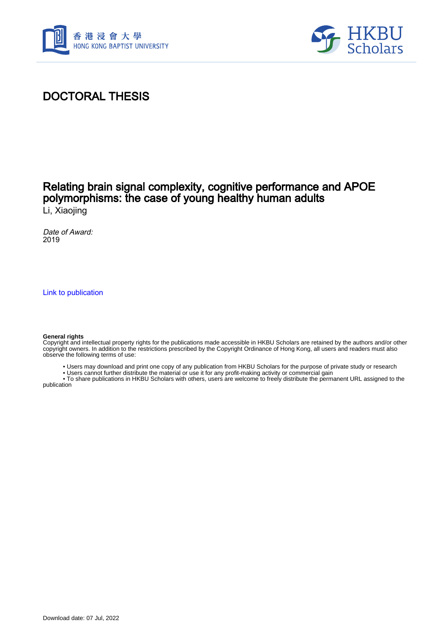



### DOCTORAL THESIS

# Relating brain signal complexity, cognitive performance and APOE polymorphisms: the case of young healthy human adults

Li, Xiaojing

Date of Award: 2019

[Link to publication](https://scholars.hkbu.edu.hk/en/studentTheses/e550f2b6-c8fd-4a02-8e91-bd5ed8540fae)

#### **General rights**

Copyright and intellectual property rights for the publications made accessible in HKBU Scholars are retained by the authors and/or other copyright owners. In addition to the restrictions prescribed by the Copyright Ordinance of Hong Kong, all users and readers must also observe the following terms of use:

- Users may download and print one copy of any publication from HKBU Scholars for the purpose of private study or research
- Users cannot further distribute the material or use it for any profit-making activity or commercial gain

 • To share publications in HKBU Scholars with others, users are welcome to freely distribute the permanent URL assigned to the publication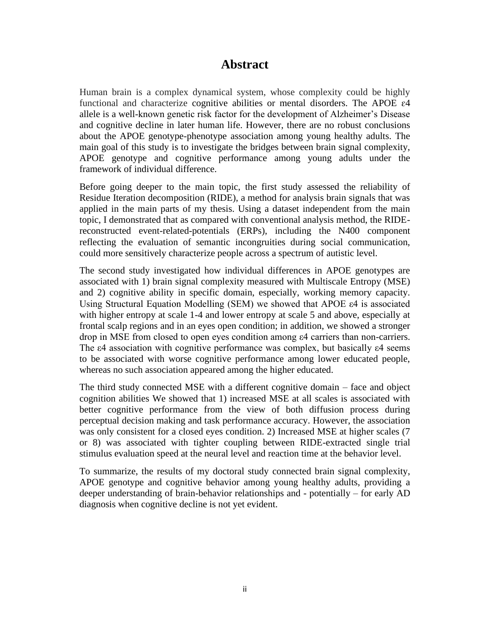### **Abstract**

<span id="page-1-0"></span>Human brain is a complex dynamical system, whose complexity could be highly functional and characterize cognitive abilities or mental disorders. The APOE ɛ4 allele is a well-known genetic risk factor for the development of Alzheimer's Disease and cognitive decline in later human life. However, there are no robust conclusions about the APOE genotype-phenotype association among young healthy adults. The main goal of this study is to investigate the bridges between brain signal complexity, APOE genotype and cognitive performance among young adults under the framework of individual difference.

Before going deeper to the main topic, the first study assessed the reliability of Residue Iteration decomposition (RIDE), a method for analysis brain signals that was applied in the main parts of my thesis. Using a dataset independent from the main topic, I demonstrated that as compared with conventional analysis method, the RIDEreconstructed event-related-potentials (ERPs), including the N400 component reflecting the evaluation of semantic incongruities during social communication, could more sensitively characterize people across a spectrum of autistic level.

The second study investigated how individual differences in APOE genotypes are associated with 1) brain signal complexity measured with Multiscale Entropy (MSE) and 2) cognitive ability in specific domain, especially, working memory capacity. Using Structural Equation Modelling (SEM) we showed that APOE ε4 is associated with higher entropy at scale 1-4 and lower entropy at scale 5 and above, especially at frontal scalp regions and in an eyes open condition; in addition, we showed a stronger drop in MSE from closed to open eyes condition among ε4 carriers than non-carriers. The ε4 association with cognitive performance was complex, but basically ε4 seems to be associated with worse cognitive performance among lower educated people, whereas no such association appeared among the higher educated.

The third study connected MSE with a different cognitive domain – face and object cognition abilities We showed that 1) increased MSE at all scales is associated with better cognitive performance from the view of both diffusion process during perceptual decision making and task performance accuracy. However, the association was only consistent for a closed eyes condition. 2) Increased MSE at higher scales (7 or 8) was associated with tighter coupling between RIDE-extracted single trial stimulus evaluation speed at the neural level and reaction time at the behavior level.

To summarize, the results of my doctoral study connected brain signal complexity, APOE genotype and cognitive behavior among young healthy adults, providing a deeper understanding of brain-behavior relationships and - potentially – for early AD diagnosis when cognitive decline is not yet evident.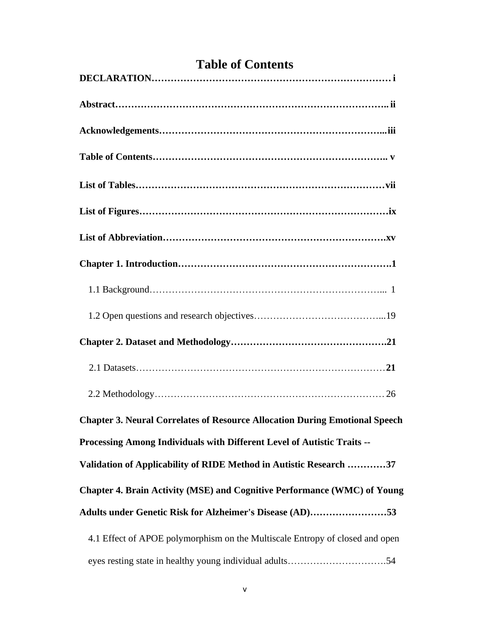| <b>Chapter 3. Neural Correlates of Resource Allocation During Emotional Speech</b> |
|------------------------------------------------------------------------------------|
| Processing Among Individuals with Different Level of Autistic Traits --            |
| Validation of Applicability of RIDE Method in Autistic Research 37                 |
| Chapter 4. Brain Activity (MSE) and Cognitive Performance (WMC) of Young           |
| Adults under Genetic Risk for Alzheimer's Disease (AD)53                           |
| 4.1 Effect of APOE polymorphism on the Multiscale Entropy of closed and open       |
| eyes resting state in healthy young individual adults54                            |

## **Table of Contents**